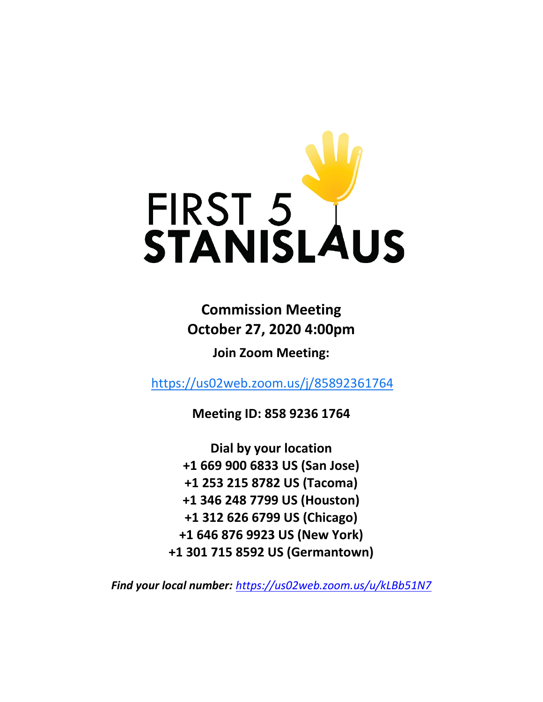

# **Commission Meeting October 27, 2020 4:00pm**

**Join Zoom Meeting:**

<https://us02web.zoom.us/j/85892361764>

**Meeting ID: 858 9236 1764**

**Dial by your location +1 669 900 6833 US (San Jose) +1 253 215 8782 US (Tacoma) +1 346 248 7799 US (Houston) +1 312 626 6799 US (Chicago) +1 646 876 9923 US (New York) +1 301 715 8592 US (Germantown)**

*Find your local number: <https://us02web.zoom.us/u/kLBb51N7>*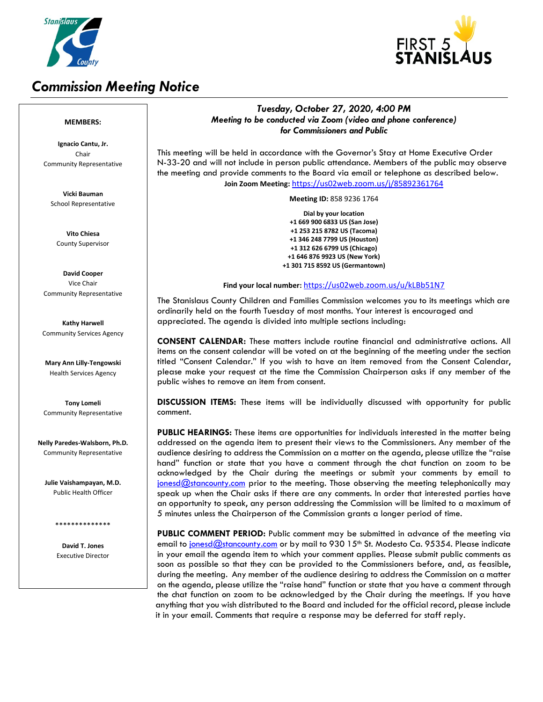

# *Commission Meeting Notice*



### *Tuesday, October 27, 2020, 4:00 PM Meeting to be conducted via Zoom (video and phone conference) for Commissioners and Public*

This meeting will be held in accordance with the Governor's Stay at Home Executive Order N-33-20 and will not include in person public attendance. Members of the public may observe the meeting and provide comments to the Board via email or telephone as described below. **Join Zoom Meeting:** <https://us02web.zoom.us/j/85892361764>

**Meeting ID:** 858 9236 1764

**Dial by your location +1 669 900 6833 US (San Jose) +1 253 215 8782 US (Tacoma) +1 346 248 7799 US (Houston) +1 312 626 6799 US (Chicago) +1 646 876 9923 US (New York) +1 301 715 8592 US (Germantown)**

**Find your local number:** <https://us02web.zoom.us/u/kLBb51N7>

The Stanislaus County Children and Families Commission welcomes you to its meetings which are ordinarily held on the fourth Tuesday of most months. Your interest is encouraged and appreciated. The agenda is divided into multiple sections including:

**CONSENT CALENDAR:** These matters include routine financial and administrative actions. All items on the consent calendar will be voted on at the beginning of the meeting under the section titled "Consent Calendar." If you wish to have an item removed from the Consent Calendar, please make your request at the time the Commission Chairperson asks if any member of the public wishes to remove an item from consent.

**DISCUSSION ITEMS:** These items will be individually discussed with opportunity for public comment.

**PUBLIC HEARINGS:** These items are opportunities for individuals interested in the matter being addressed on the agenda item to present their views to the Commissioners. Any member of the audience desiring to address the Commission on a matter on the agenda, please utilize the "raise hand" function or state that you have a comment through the chat function on zoom to be acknowledged by the Chair during the meetings or submit your comments by email to  $j$ onesd $@$ stancounty.com prior to the meeting. Those observing the meeting telephonically may speak up when the Chair asks if there are any comments. In order that interested parties have an opportunity to speak, any person addressing the Commission will be limited to a maximum of 5 minutes unless the Chairperson of the Commission grants a longer period of time.

**PUBLIC COMMENT PERIOD:** Public comment may be submitted in advance of the meeting via email to [jonesd@stancounty.com](mailto:jonesd@stancounty.com) or by mail to 930 15<sup>th</sup> St. Modesto Ca. 95354. Please indicate in your email the agenda item to which your comment applies. Please submit public comments as soon as possible so that they can be provided to the Commissioners before, and, as feasible, during the meeting. Any member of the audience desiring to address the Commission on a matter on the agenda, please utilize the "raise hand" function or state that you have a comment through the chat function on zoom to be acknowledged by the Chair during the meetings. If you have anything that you wish distributed to the Board and included for the official record, please include it in your email. Comments that require a response may be deferred for staff reply.

#### **MEMBERS:**

**Ignacio Cantu, Jr.** Chair Community Representative

**Vicki Bauman** School Representative

**Vito Chiesa** County Supervisor

**David Cooper** Vice Chair Community Representative

**Kathy Harwell** Community Services Agency

**Mary Ann Lilly-Tengowski** Health Services Agency

**Tony Lomeli** Community Representative

**Nelly Paredes-Walsborn, Ph.D.** Community Representative

**Julie Vaishampayan, M.D.** Public Health Officer

\*\*\*\*\*\*\*\*\*\*\*\*\*\*

**David T. Jones** Executive Director